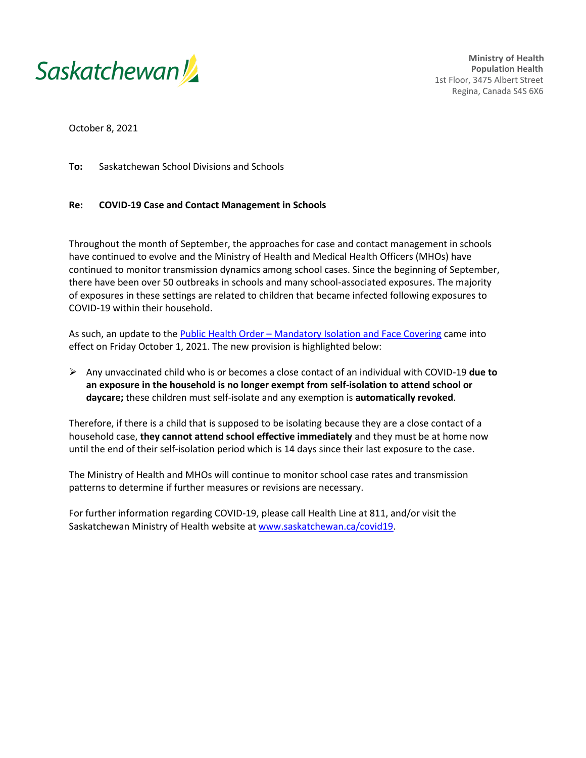

**Ministry of Health Population Health** 1st Floor, 3475 Albert Street Regina, Canada S4S 6X6

October 8, 2021

**To:** Saskatchewan School Divisions and Schools

## **Re: COVID-19 Case and Contact Management in Schools**

Throughout the month of September, the approaches for case and contact management in schools have continued to evolve and the Ministry of Health and Medical Health Officers (MHOs) have continued to monitor transmission dynamics among school cases. Since the beginning of September, there have been over 50 outbreaks in schools and many school-associated exposures. The majority of exposures in these settings are related to children that became infected following exposures to COVID-19 within their household.

As such, an update to the **Public Health Order – Mandatory Isolation and Face Covering came into** effect on Friday October 1, 2021. The new provision is highlighted below:

 Any unvaccinated child who is or becomes a close contact of an individual with COVID-19 **due to an exposure in the household is no longer exempt from self-isolation to attend school or daycare;** these children must self-isolate and any exemption is **automatically revoked**.

Therefore, if there is a child that is supposed to be isolating because they are a close contact of a household case, **they cannot attend school effective immediately** and they must be at home now until the end of their self-isolation period which is 14 days since their last exposure to the case.

The Ministry of Health and MHOs will continue to monitor school case rates and transmission patterns to determine if further measures or revisions are necessary.

For further information regarding COVID-19, please call Health Line at 811, and/or visit the Saskatchewan Ministry of Health website at [www.saskatchewan.ca/covid19.](http://www.saskatchewan.ca/covid19)